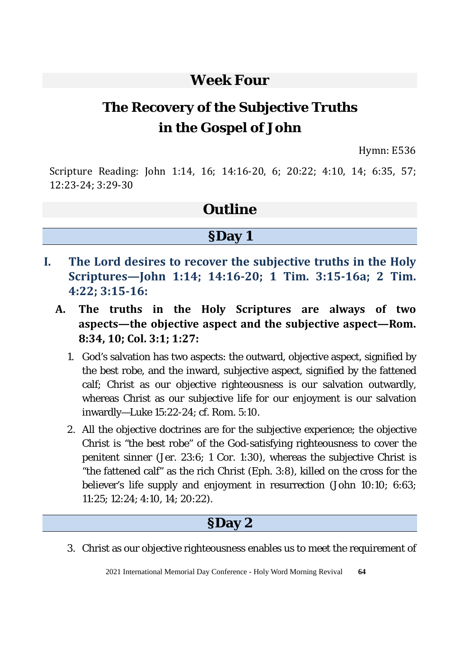#### **Week Four**

# **The Recovery of the Subjective Truths in the Gospel of John**

Hymn: E536

Scripture Reading: John 1:14, 16; 14:16-20, 6; 20:22; 4:10, 14; 6:35, 57; 12:23-24; 3:29-30

### **Outline**

#### **§Day 1**

- **I. The Lord desires to recover the subjective truths in the Holy Scriptures—John 1:14; 14:16-20; 1 Tim. 3:15-16a; 2 Tim. 4:22; 3:15-16:** 
	- **A. The truths in the Holy Scriptures are always of two aspects—the objective aspect and the subjective aspect—Rom. 8:34, 10; Col. 3:1; 1:27:** 
		- 1. God's salvation has two aspects: the outward, objective aspect, signified by the best robe, and the inward, subjective aspect, signified by the fattened calf; Christ as our objective righteousness is our salvation outwardly, whereas Christ as our subjective life for our enjoyment is our salvation inwardly—Luke 15:22-24; cf. Rom. 5:10.
		- 2. All the objective doctrines are for the subjective experience; the objective Christ is "the best robe" of the God-satisfying righteousness to cover the penitent sinner (Jer. 23:6; 1 Cor. 1:30), whereas the subjective Christ is "the fattened calf" as the rich Christ (Eph. 3:8), killed on the cross for the believer's life supply and enjoyment in resurrection (John 10:10; 6:63; 11:25; 12:24; 4:10, 14; 20:22).

### **§Day 2**

3. Christ as our objective righteousness enables us to meet the requirement of

2021 International Memorial Day Conference - Holy Word Morning Revival **64**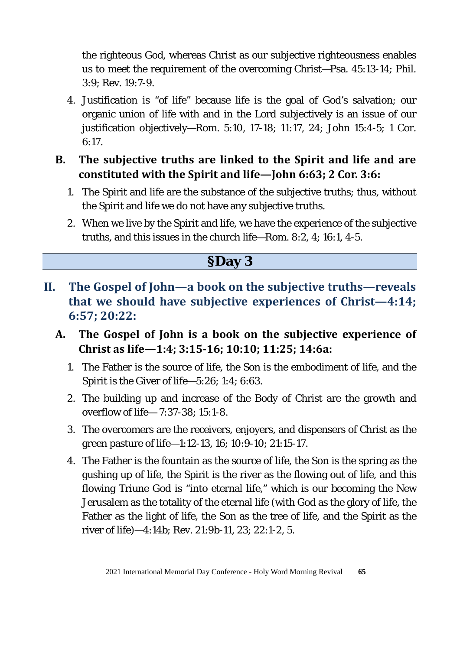the righteous God, whereas Christ as our subjective righteousness enables us to meet the requirement of the overcoming Christ—Psa. 45:13-14; Phil. 3:9; Rev. 19:7-9.

- 4. Justification is "of life" because life is the goal of God's salvation; our organic union of life with and in the Lord subjectively is an issue of our justification objectively—Rom. 5:10, 17-18; 11:17, 24; John 15:4-5; 1 Cor. 6:17.
- **B. The subjective truths are linked to the Spirit and life and are constituted with the Spirit and life—John 6:63; 2 Cor. 3:6:** 
	- 1. The Spirit and life are the substance of the subjective truths; thus, without the Spirit and life we do not have any subjective truths.
	- 2. When we live by the Spirit and life, we have the experience of the subjective truths, and this issues in the church life—Rom. 8:2, 4; 16:1, 4-5.

#### **§Day 3**

- **II. The Gospel of John—a book on the subjective truths—reveals that we should have subjective experiences of Christ—4:14; 6:57; 20:22:**
	- **A. The Gospel of John is a book on the subjective experience of Christ as life—1:4; 3:15-16; 10:10; 11:25; 14:6a:** 
		- 1. The Father is the source of life, the Son is the embodiment of life, and the Spirit is the Giver of life—5:26; 1:4; 6:63.
		- 2. The building up and increase of the Body of Christ are the growth and overflow of life— 7:37-38; 15:1-8.
		- 3. The overcomers are the receivers, enjoyers, and dispensers of Christ as the green pasture of life—1:12-13, 16; 10:9-10; 21:15-17.
		- 4. The Father is the fountain as the source of life, the Son is the spring as the gushing up of life, the Spirit is the river as the flowing out of life, and this flowing Triune God is "into eternal life," which is our becoming the New Jerusalem as the totality of the eternal life (with God as the glory of life, the Father as the light of life, the Son as the tree of life, and the Spirit as the river of life)—4:14b; Rev. 21:9b-11, 23; 22:1-2, 5.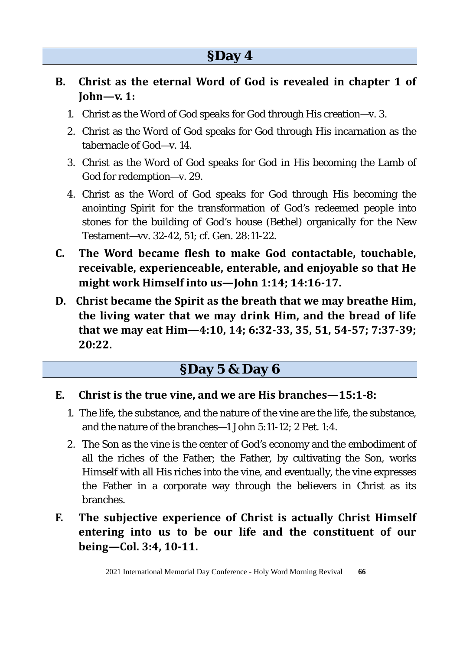- **B. Christ as the eternal Word of God is revealed in chapter 1 of John—v. 1:** 
	- 1. Christ as the Word of God speaks for God through His creation—v. 3.
	- 2. Christ as the Word of God speaks for God through His incarnation as the tabernacle of God—v. 14.
	- 3. Christ as the Word of God speaks for God in His becoming the Lamb of God for redemption—v. 29.
	- 4. Christ as the Word of God speaks for God through His becoming the anointing Spirit for the transformation of God's redeemed people into stones for the building of God's house (Bethel) organically for the New Testament—vv. 32-42, 51; cf. Gen. 28:11-22.
- **C. The Word became flesh to make God contactable, touchable, receivable, experienceable, enterable, and enjoyable so that He might work Himself into us—John 1:14; 14:16-17.**
- **D. Christ became the Spirit as the breath that we may breathe Him, the living water that we may drink Him, and the bread of life that we may eat Him—4:10, 14; 6:32-33, 35, 51, 54-57; 7:37-39; 20:22.**

## **§Day 5 & Day 6**

- **E. Christ is the true vine, and we are His branches—15:1-8:** 
	- 1. The life, the substance, and the nature of the vine are the life, the substance, and the nature of the branches—1 John 5:11-12; 2 Pet. 1:4.
	- 2. The Son as the vine is the center of God's economy and the embodiment of all the riches of the Father; the Father, by cultivating the Son, works Himself with all His riches into the vine, and eventually, the vine expresses the Father in a corporate way through the believers in Christ as its branches.
- **F. The subjective experience of Christ is actually Christ Himself entering into us to be our life and the constituent of our being—Col. 3:4, 10-11.**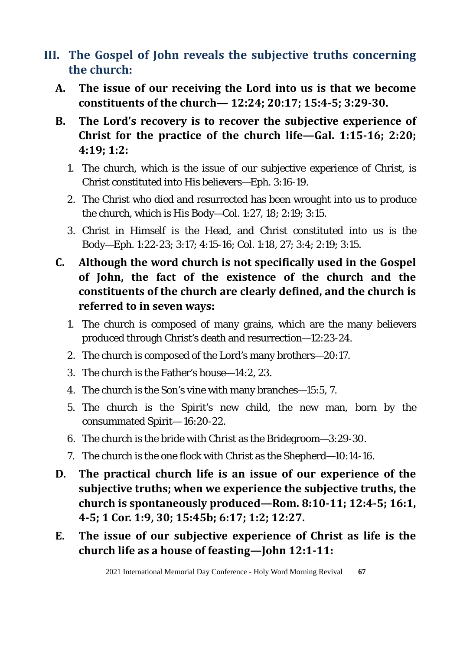- **III. The Gospel of John reveals the subjective truths concerning the church:**
	- **A. The issue of our receiving the Lord into us is that we become constituents of the church— 12:24; 20:17; 15:4-5; 3:29-30.**
	- **B. The Lord's recovery is to recover the subjective experience of Christ for the practice of the church life—Gal. 1:15-16; 2:20; 4:19; 1:2:** 
		- 1. The church, which is the issue of our subjective experience of Christ, is Christ constituted into His believers—Eph. 3:16-19.
		- 2. The Christ who died and resurrected has been wrought into us to produce the church, which is His Body—Col. 1:27, 18; 2:19; 3:15.
		- 3. Christ in Himself is the Head, and Christ constituted into us is the Body—Eph. 1:22-23; 3:17; 4:15-16; Col. 1:18, 27; 3:4; 2:19; 3:15.
	- **C. Although the word church is not specifically used in the Gospel of John, the fact of the existence of the church and the constituents of the church are clearly defined, and the church is referred to in seven ways:**
		- 1. The church is composed of many grains, which are the many believers produced through Christ's death and resurrection—12:23-24.
		- 2. The church is composed of the Lord's many brothers—20:17.
		- 3. The church is the Father's house—14:2, 23.
		- 4. The church is the Son's vine with many branches—15:5, 7.
		- 5. The church is the Spirit's new child, the new man, born by the consummated Spirit— 16:20-22.
		- 6. The church is the bride with Christ as the Bridegroom—3:29-30.
		- 7. The church is the one flock with Christ as the Shepherd—10:14-16.
	- **D. The practical church life is an issue of our experience of the subjective truths; when we experience the subjective truths, the church is spontaneously produced—Rom. 8:10-11; 12:4-5; 16:1, 4-5; 1 Cor. 1:9, 30; 15:45b; 6:17; 1:2; 12:27.**
	- **E. The issue of our subjective experience of Christ as life is the church life as a house of feasting—John 12:1-11:**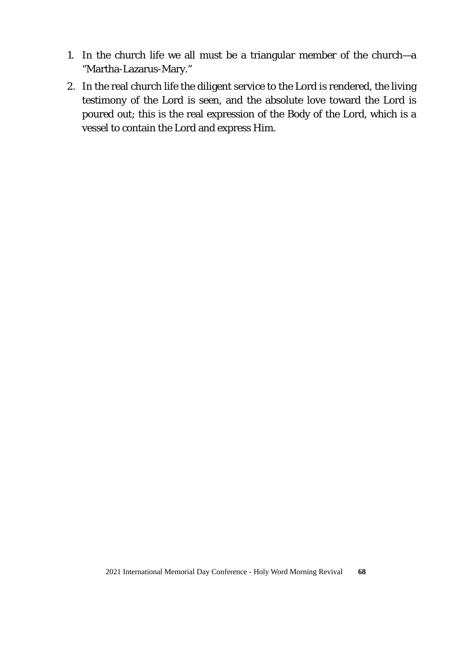- 1. In the church life we all must be a triangular member of the church—a "Martha-Lazarus-Mary."
- 2. In the real church life the diligent service to the Lord is rendered, the living testimony of the Lord is seen, and the absolute love toward the Lord is poured out; this is the real expression of the Body of the Lord, which is a vessel to contain the Lord and express Him.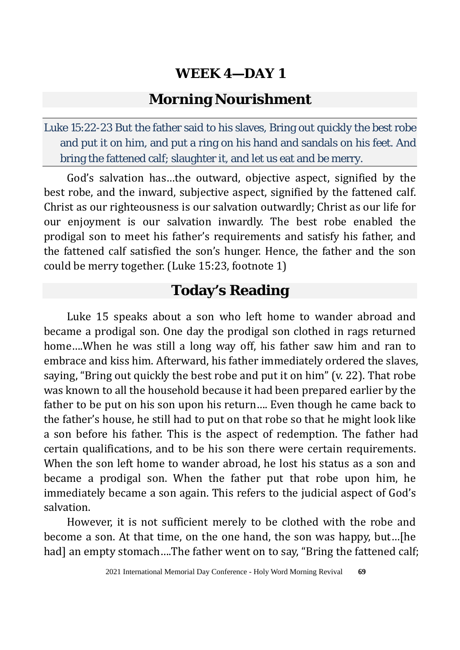#### **Morning Nourishment**

Luke 15:22-23 But the father said to his slaves, Bring out quickly the best robe and put it on him, and put a ring on his hand and sandals on his feet. And bring the fattened calf; slaughter it, and let us eat and be merry.

God's salvation has…the outward, objective aspect, signified by the best robe, and the inward, subjective aspect, signified by the fattened calf. Christ as our righteousness is our salvation outwardly; Christ as our life for our enjoyment is our salvation inwardly. The best robe enabled the prodigal son to meet his father's requirements and satisfy his father, and the fattened calf satisfied the son's hunger. Hence, the father and the son could be merry together. (Luke 15:23, footnote 1)

## **Today's Reading**

Luke 15 speaks about a son who left home to wander abroad and became a prodigal son. One day the prodigal son clothed in rags returned home….When he was still a long way off, his father saw him and ran to embrace and kiss him. Afterward, his father immediately ordered the slaves, saying, "Bring out quickly the best robe and put it on him" (v. 22). That robe was known to all the household because it had been prepared earlier by the father to be put on his son upon his return…. Even though he came back to the father's house, he still had to put on that robe so that he might look like a son before his father. This is the aspect of redemption. The father had certain qualifications, and to be his son there were certain requirements. When the son left home to wander abroad, he lost his status as a son and became a prodigal son. When the father put that robe upon him, he immediately became a son again. This refers to the judicial aspect of God's salvation.

However, it is not sufficient merely to be clothed with the robe and become a son. At that time, on the one hand, the son was happy, but…[he had] an empty stomach....The father went on to say, "Bring the fattened calf;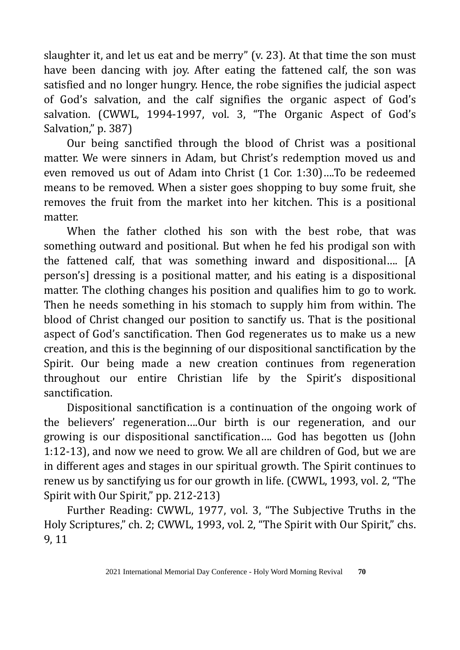slaughter it, and let us eat and be merry" (v. 23). At that time the son must have been dancing with joy. After eating the fattened calf, the son was satisfied and no longer hungry. Hence, the robe signifies the judicial aspect of God's salvation, and the calf signifies the organic aspect of God's salvation. (CWWL, 1994-1997, vol. 3, "The Organic Aspect of God's Salvation," p. 387)

Our being sanctified through the blood of Christ was a positional matter. We were sinners in Adam, but Christ's redemption moved us and even removed us out of Adam into Christ (1 Cor. 1:30)….To be redeemed means to be removed. When a sister goes shopping to buy some fruit, she removes the fruit from the market into her kitchen. This is a positional matter.

When the father clothed his son with the best robe, that was something outward and positional. But when he fed his prodigal son with the fattened calf, that was something inward and dispositional…. [A person's] dressing is a positional matter, and his eating is a dispositional matter. The clothing changes his position and qualifies him to go to work. Then he needs something in his stomach to supply him from within. The blood of Christ changed our position to sanctify us. That is the positional aspect of God's sanctification. Then God regenerates us to make us a new creation, and this is the beginning of our dispositional sanctification by the Spirit. Our being made a new creation continues from regeneration throughout our entire Christian life by the Spirit's dispositional sanctification.

Dispositional sanctification is a continuation of the ongoing work of the believers' regeneration….Our birth is our regeneration, and our growing is our dispositional sanctification…. God has begotten us (John 1:12-13), and now we need to grow. We all are children of God, but we are in different ages and stages in our spiritual growth. The Spirit continues to renew us by sanctifying us for our growth in life. (CWWL, 1993, vol. 2, "The Spirit with Our Spirit," pp. 212-213)

Further Reading: CWWL, 1977, vol. 3, "The Subjective Truths in the Holy Scriptures," ch. 2; CWWL, 1993, vol. 2, "The Spirit with Our Spirit," chs. 9, 11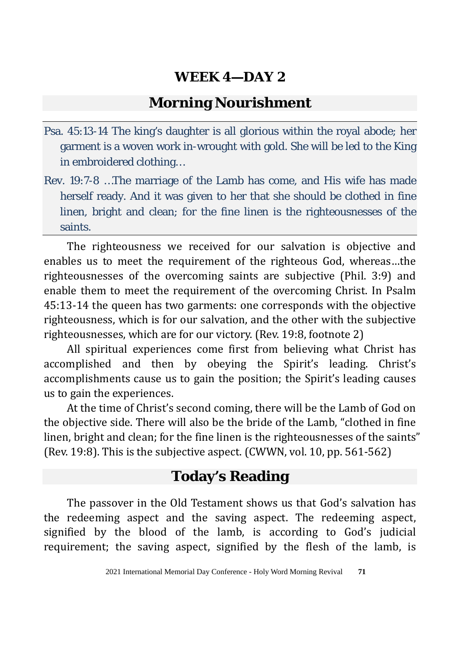### **Morning Nourishment**

- Psa. 45:13-14 The king's daughter is all glorious within the royal abode; her garment is a woven work in-wrought with gold. She will be led to the King in embroidered clothing…
- Rev. 19:7-8 …The marriage of the Lamb has come, and His wife has made herself ready. And it was given to her that she should be clothed in fine linen, bright and clean; for the fine linen is the righteousnesses of the saints.

The righteousness we received for our salvation is objective and enables us to meet the requirement of the righteous God, whereas…the righteousnesses of the overcoming saints are subjective (Phil. 3:9) and enable them to meet the requirement of the overcoming Christ. In Psalm 45:13-14 the queen has two garments: one corresponds with the objective righteousness, which is for our salvation, and the other with the subjective righteousnesses, which are for our victory. (Rev. 19:8, footnote 2)

All spiritual experiences come first from believing what Christ has accomplished and then by obeying the Spirit's leading. Christ's accomplishments cause us to gain the position; the Spirit's leading causes us to gain the experiences.

At the time of Christ's second coming, there will be the Lamb of God on the objective side. There will also be the bride of the Lamb, "clothed in fine linen, bright and clean; for the fine linen is the righteousnesses of the saints" (Rev. 19:8). This is the subjective aspect. (CWWN, vol. 10, pp. 561-562)

### **Today's Reading**

The passover in the Old Testament shows us that God's salvation has the redeeming aspect and the saving aspect. The redeeming aspect, signified by the blood of the lamb, is according to God's judicial requirement; the saving aspect, signified by the flesh of the lamb, is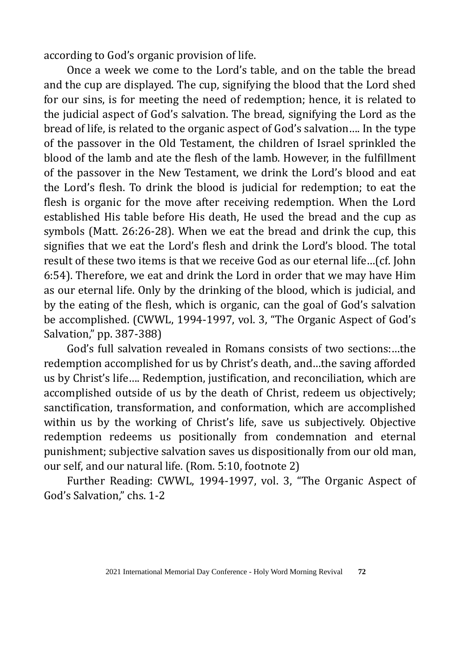according to God's organic provision of life.

Once a week we come to the Lord's table, and on the table the bread and the cup are displayed. The cup, signifying the blood that the Lord shed for our sins, is for meeting the need of redemption; hence, it is related to the judicial aspect of God's salvation. The bread, signifying the Lord as the bread of life, is related to the organic aspect of God's salvation…. In the type of the passover in the Old Testament, the children of Israel sprinkled the blood of the lamb and ate the flesh of the lamb. However, in the fulfillment of the passover in the New Testament, we drink the Lord's blood and eat the Lord's flesh. To drink the blood is judicial for redemption; to eat the flesh is organic for the move after receiving redemption. When the Lord established His table before His death, He used the bread and the cup as symbols (Matt. 26:26-28). When we eat the bread and drink the cup, this signifies that we eat the Lord's flesh and drink the Lord's blood. The total result of these two items is that we receive God as our eternal life…(cf. John 6:54). Therefore, we eat and drink the Lord in order that we may have Him as our eternal life. Only by the drinking of the blood, which is judicial, and by the eating of the flesh, which is organic, can the goal of God's salvation be accomplished. (CWWL, 1994-1997, vol. 3, "The Organic Aspect of God's Salvation," pp. 387-388)

God's full salvation revealed in Romans consists of two sections:…the redemption accomplished for us by Christ's death, and…the saving afforded us by Christ's life…. Redemption, justification, and reconciliation, which are accomplished outside of us by the death of Christ, redeem us objectively; sanctification, transformation, and conformation, which are accomplished within us by the working of Christ's life, save us subjectively. Objective redemption redeems us positionally from condemnation and eternal punishment; subjective salvation saves us dispositionally from our old man, our self, and our natural life. (Rom. 5:10, footnote 2)

Further Reading: CWWL, 1994-1997, vol. 3, "The Organic Aspect of God's Salvation," chs. 1-2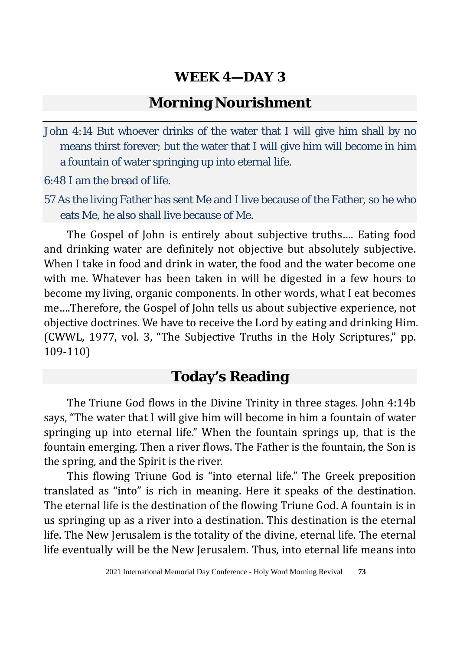#### **Morning Nourishment**

John 4:14 But whoever drinks of the water that I will give him shall by no means thirst forever; but the water that I will give him will become in him a fountain of water springing up into eternal life.

6:48 I am the bread of life.

57 As the living Father has sent Me and I live because of the Father, so he who eats Me, he also shall live because of Me.

The Gospel of John is entirely about subjective truths…. Eating food and drinking water are definitely not objective but absolutely subjective. When I take in food and drink in water, the food and the water become one with me. Whatever has been taken in will be digested in a few hours to become my living, organic components. In other words, what I eat becomes me….Therefore, the Gospel of John tells us about subjective experience, not objective doctrines. We have to receive the Lord by eating and drinking Him. (CWWL, 1977, vol. 3, "The Subjective Truths in the Holy Scriptures," pp. 109-110)

#### **Today's Reading**

The Triune God flows in the Divine Trinity in three stages. John 4:14b says, "The water that I will give him will become in him a fountain of water springing up into eternal life." When the fountain springs up, that is the fountain emerging. Then a river flows. The Father is the fountain, the Son is the spring, and the Spirit is the river.

This flowing Triune God is "into eternal life." The Greek preposition translated as "into" is rich in meaning. Here it speaks of the destination. The eternal life is the destination of the flowing Triune God. A fountain is in us springing up as a river into a destination. This destination is the eternal life. The New Jerusalem is the totality of the divine, eternal life. The eternal life eventually will be the New Jerusalem. Thus, into eternal life means into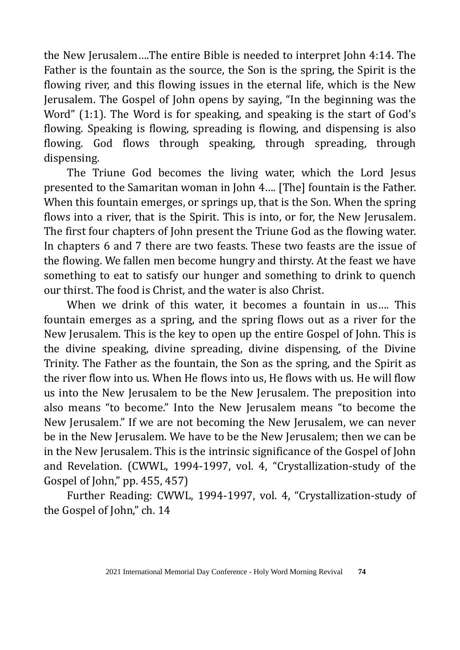the New Jerusalem….The entire Bible is needed to interpret John 4:14. The Father is the fountain as the source, the Son is the spring, the Spirit is the flowing river, and this flowing issues in the eternal life, which is the New Jerusalem. The Gospel of John opens by saying, "In the beginning was the Word" (1:1). The Word is for speaking, and speaking is the start of God's flowing. Speaking is flowing, spreading is flowing, and dispensing is also flowing. God flows through speaking, through spreading, through dispensing.

The Triune God becomes the living water, which the Lord Jesus presented to the Samaritan woman in John 4…. [The] fountain is the Father. When this fountain emerges, or springs up, that is the Son. When the spring flows into a river, that is the Spirit. This is into, or for, the New Jerusalem. The first four chapters of John present the Triune God as the flowing water. In chapters 6 and 7 there are two feasts. These two feasts are the issue of the flowing. We fallen men become hungry and thirsty. At the feast we have something to eat to satisfy our hunger and something to drink to quench our thirst. The food is Christ, and the water is also Christ.

When we drink of this water, it becomes a fountain in us…. This fountain emerges as a spring, and the spring flows out as a river for the New Jerusalem. This is the key to open up the entire Gospel of John. This is the divine speaking, divine spreading, divine dispensing, of the Divine Trinity. The Father as the fountain, the Son as the spring, and the Spirit as the river flow into us. When He flows into us, He flows with us. He will flow us into the New Jerusalem to be the New Jerusalem. The preposition into also means "to become." Into the New Jerusalem means "to become the New Jerusalem." If we are not becoming the New Jerusalem, we can never be in the New Jerusalem. We have to be the New Jerusalem; then we can be in the New Jerusalem. This is the intrinsic significance of the Gospel of John and Revelation. (CWWL, 1994-1997, vol. 4, "Crystallization-study of the Gospel of John," pp. 455, 457)

Further Reading: CWWL, 1994-1997, vol. 4, "Crystallization-study of the Gospel of John," ch. 14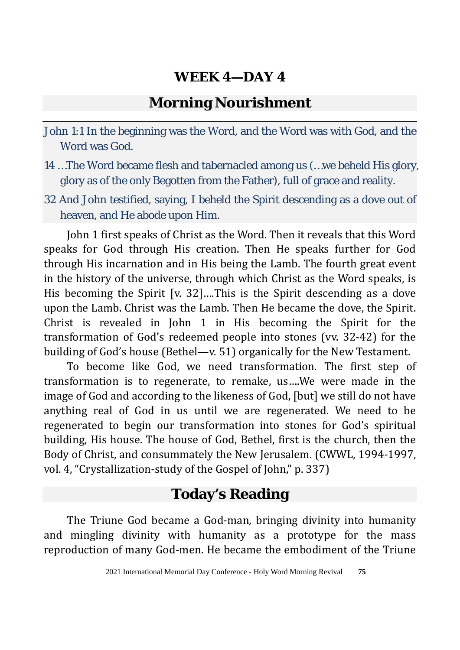## **Morning Nourishment**

- John 1:1 In the beginning was the Word, and the Word was with God, and the Word was God.
- 14 …The Word became flesh and tabernacled among us (…we beheld His glory, glory as of the only Begotten from the Father), full of grace and reality.
- 32 And John testified, saying, I beheld the Spirit descending as a dove out of heaven, and He abode upon Him.

John 1 first speaks of Christ as the Word. Then it reveals that this Word speaks for God through His creation. Then He speaks further for God through His incarnation and in His being the Lamb. The fourth great event in the history of the universe, through which Christ as the Word speaks, is His becoming the Spirit [v. 32]….This is the Spirit descending as a dove upon the Lamb. Christ was the Lamb. Then He became the dove, the Spirit. Christ is revealed in John 1 in His becoming the Spirit for the transformation of God's redeemed people into stones (vv. 32-42) for the building of God's house (Bethel—v. 51) organically for the New Testament.

To become like God, we need transformation. The first step of transformation is to regenerate, to remake, us….We were made in the image of God and according to the likeness of God, [but] we still do not have anything real of God in us until we are regenerated. We need to be regenerated to begin our transformation into stones for God's spiritual building, His house. The house of God, Bethel, first is the church, then the Body of Christ, and consummately the New Jerusalem. (CWWL, 1994-1997, vol. 4, "Crystallization-study of the Gospel of John," p. 337)

## **Today's Reading**

The Triune God became a God-man, bringing divinity into humanity and mingling divinity with humanity as a prototype for the mass reproduction of many God-men. He became the embodiment of the Triune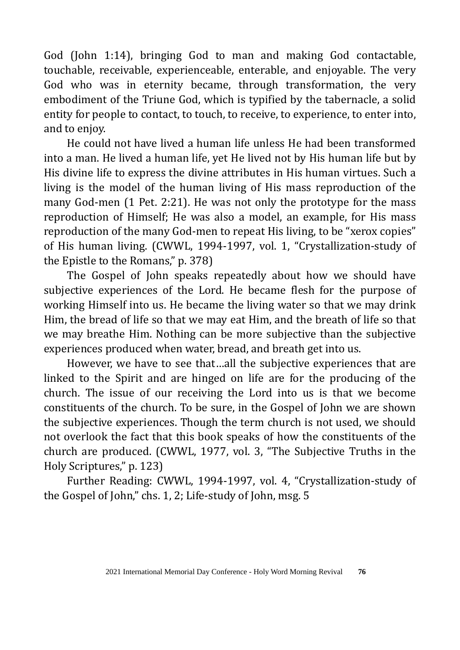God (John 1:14), bringing God to man and making God contactable, touchable, receivable, experienceable, enterable, and enjoyable. The very God who was in eternity became, through transformation, the very embodiment of the Triune God, which is typified by the tabernacle, a solid entity for people to contact, to touch, to receive, to experience, to enter into, and to enjoy.

He could not have lived a human life unless He had been transformed into a man. He lived a human life, yet He lived not by His human life but by His divine life to express the divine attributes in His human virtues. Such a living is the model of the human living of His mass reproduction of the many God-men (1 Pet. 2:21). He was not only the prototype for the mass reproduction of Himself; He was also a model, an example, for His mass reproduction of the many God-men to repeat His living, to be "xerox copies" of His human living. (CWWL, 1994-1997, vol. 1, "Crystallization-study of the Epistle to the Romans," p. 378)

The Gospel of John speaks repeatedly about how we should have subjective experiences of the Lord. He became flesh for the purpose of working Himself into us. He became the living water so that we may drink Him, the bread of life so that we may eat Him, and the breath of life so that we may breathe Him. Nothing can be more subjective than the subjective experiences produced when water, bread, and breath get into us.

However, we have to see that…all the subjective experiences that are linked to the Spirit and are hinged on life are for the producing of the church. The issue of our receiving the Lord into us is that we become constituents of the church. To be sure, in the Gospel of John we are shown the subjective experiences. Though the term church is not used, we should not overlook the fact that this book speaks of how the constituents of the church are produced. (CWWL, 1977, vol. 3, "The Subjective Truths in the Holy Scriptures," p. 123)

Further Reading: CWWL, 1994-1997, vol. 4, "Crystallization-study of the Gospel of John," chs. 1, 2; Life-study of John, msg. 5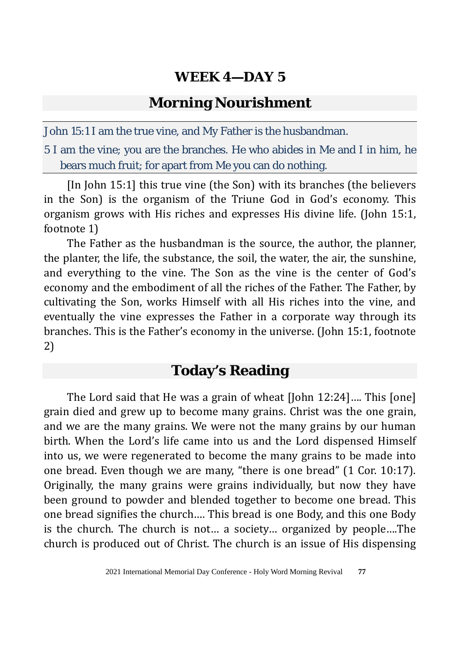#### **Morning Nourishment**

John 15:1 I am the true vine, and My Father is the husbandman.

5 I am the vine; you are the branches. He who abides in Me and I in him, he bears much fruit; for apart from Me you can do nothing.

[In John 15:1] this true vine (the Son) with its branches (the believers in the Son) is the organism of the Triune God in God's economy. This organism grows with His riches and expresses His divine life. (John 15:1, footnote 1)

The Father as the husbandman is the source, the author, the planner, the planter, the life, the substance, the soil, the water, the air, the sunshine, and everything to the vine. The Son as the vine is the center of God's economy and the embodiment of all the riches of the Father. The Father, by cultivating the Son, works Himself with all His riches into the vine, and eventually the vine expresses the Father in a corporate way through its branches. This is the Father's economy in the universe. (John 15:1, footnote 2)

### **Today's Reading**

The Lord said that He was a grain of wheat [John 12:24]…. This [one] grain died and grew up to become many grains. Christ was the one grain, and we are the many grains. We were not the many grains by our human birth. When the Lord's life came into us and the Lord dispensed Himself into us, we were regenerated to become the many grains to be made into one bread. Even though we are many, "there is one bread" (1 Cor. 10:17). Originally, the many grains were grains individually, but now they have been ground to powder and blended together to become one bread. This one bread signifies the church…. This bread is one Body, and this one Body is the church. The church is not… a society… organized by people….The church is produced out of Christ. The church is an issue of His dispensing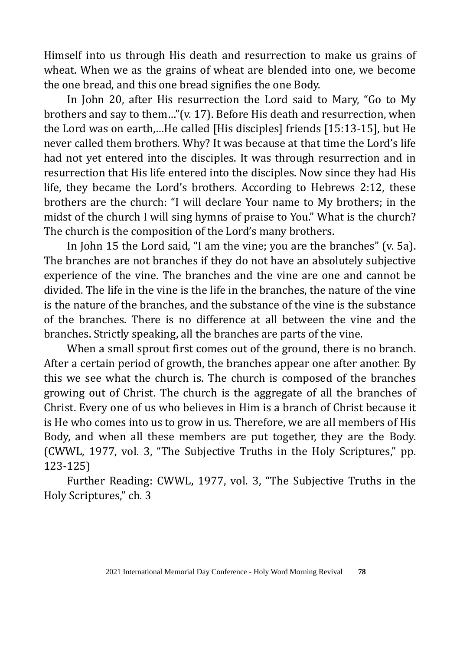Himself into us through His death and resurrection to make us grains of wheat. When we as the grains of wheat are blended into one, we become the one bread, and this one bread signifies the one Body.

In John 20, after His resurrection the Lord said to Mary, "Go to My brothers and say to them…"(v. 17). Before His death and resurrection, when the Lord was on earth,…He called [His disciples] friends [15:13-15], but He never called them brothers. Why? It was because at that time the Lord's life had not yet entered into the disciples. It was through resurrection and in resurrection that His life entered into the disciples. Now since they had His life, they became the Lord's brothers. According to Hebrews 2:12, these brothers are the church: "I will declare Your name to My brothers; in the midst of the church I will sing hymns of praise to You." What is the church? The church is the composition of the Lord's many brothers.

In John 15 the Lord said, "I am the vine; you are the branches" (v. 5a). The branches are not branches if they do not have an absolutely subjective experience of the vine. The branches and the vine are one and cannot be divided. The life in the vine is the life in the branches, the nature of the vine is the nature of the branches, and the substance of the vine is the substance of the branches. There is no difference at all between the vine and the branches. Strictly speaking, all the branches are parts of the vine.

When a small sprout first comes out of the ground, there is no branch. After a certain period of growth, the branches appear one after another. By this we see what the church is. The church is composed of the branches growing out of Christ. The church is the aggregate of all the branches of Christ. Every one of us who believes in Him is a branch of Christ because it is He who comes into us to grow in us. Therefore, we are all members of His Body, and when all these members are put together, they are the Body. (CWWL, 1977, vol. 3, "The Subjective Truths in the Holy Scriptures," pp. 123-125)

Further Reading: CWWL, 1977, vol. 3, "The Subjective Truths in the Holy Scriptures," ch. 3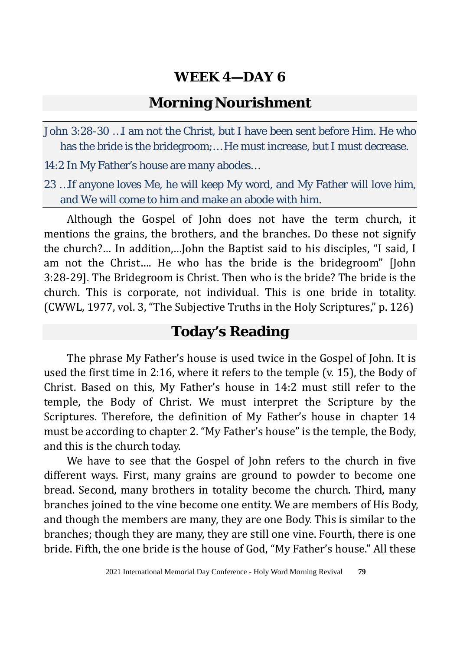#### **Morning Nourishment**

John 3:28-30 …I am not the Christ, but I have been sent before Him. He who has the bride is the bridegroom;… He must increase, but I must decrease.

14:2 In My Father's house are many abodes…

23 …If anyone loves Me, he will keep My word, and My Father will love him, and We will come to him and make an abode with him.

Although the Gospel of John does not have the term church, it mentions the grains, the brothers, and the branches. Do these not signify the church?… In addition,…John the Baptist said to his disciples, "I said, I am not the Christ…. He who has the bride is the bridegroom" [John 3:28-29]. The Bridegroom is Christ. Then who is the bride? The bride is the church. This is corporate, not individual. This is one bride in totality. (CWWL, 1977, vol. 3, "The Subjective Truths in the Holy Scriptures," p. 126)

#### **Today's Reading**

The phrase My Father's house is used twice in the Gospel of John. It is used the first time in 2:16, where it refers to the temple (v. 15), the Body of Christ. Based on this, My Father's house in 14:2 must still refer to the temple, the Body of Christ. We must interpret the Scripture by the Scriptures. Therefore, the definition of My Father's house in chapter 14 must be according to chapter 2. "My Father's house" is the temple, the Body, and this is the church today.

We have to see that the Gospel of John refers to the church in five different ways. First, many grains are ground to powder to become one bread. Second, many brothers in totality become the church. Third, many branches joined to the vine become one entity. We are members of His Body, and though the members are many, they are one Body. This is similar to the branches; though they are many, they are still one vine. Fourth, there is one bride. Fifth, the one bride is the house of God, "My Father's house." All these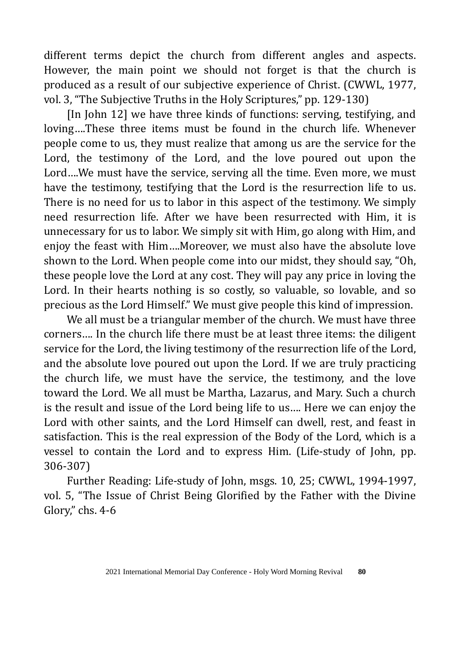different terms depict the church from different angles and aspects. However, the main point we should not forget is that the church is produced as a result of our subjective experience of Christ. (CWWL, 1977, vol. 3, "The Subjective Truths in the Holy Scriptures," pp. 129-130)

[In John 12] we have three kinds of functions: serving, testifying, and loving….These three items must be found in the church life. Whenever people come to us, they must realize that among us are the service for the Lord, the testimony of the Lord, and the love poured out upon the Lord….We must have the service, serving all the time. Even more, we must have the testimony, testifying that the Lord is the resurrection life to us. There is no need for us to labor in this aspect of the testimony. We simply need resurrection life. After we have been resurrected with Him, it is unnecessary for us to labor. We simply sit with Him, go along with Him, and enjoy the feast with Him….Moreover, we must also have the absolute love shown to the Lord. When people come into our midst, they should say, "Oh, these people love the Lord at any cost. They will pay any price in loving the Lord. In their hearts nothing is so costly, so valuable, so lovable, and so precious as the Lord Himself." We must give people this kind of impression.

We all must be a triangular member of the church. We must have three corners…. In the church life there must be at least three items: the diligent service for the Lord, the living testimony of the resurrection life of the Lord, and the absolute love poured out upon the Lord. If we are truly practicing the church life, we must have the service, the testimony, and the love toward the Lord. We all must be Martha, Lazarus, and Mary. Such a church is the result and issue of the Lord being life to us…. Here we can enjoy the Lord with other saints, and the Lord Himself can dwell, rest, and feast in satisfaction. This is the real expression of the Body of the Lord, which is a vessel to contain the Lord and to express Him. (Life-study of John, pp. 306-307)

Further Reading: Life-study of John, msgs. 10, 25; CWWL, 1994-1997, vol. 5, "The Issue of Christ Being Glorified by the Father with the Divine Glory," chs. 4-6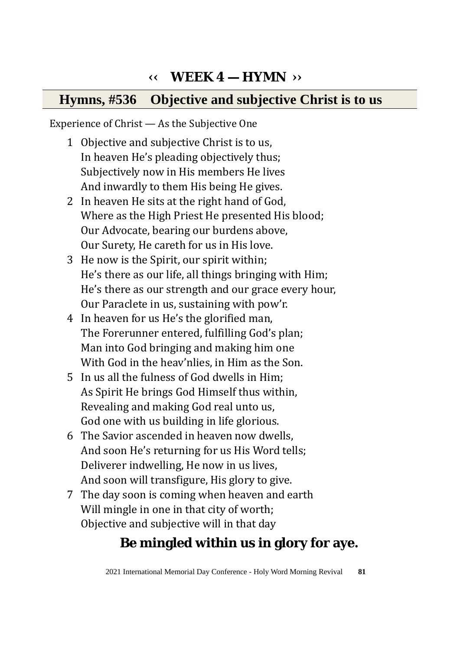## **‹‹ WEEK 4 — HYMN ››**

### **Hymns, #536 Objective and subjective Christ is to us**

Experience of Christ — As the Subjective One

- 1 Objective and subjective Christ is to us, In heaven He's pleading objectively thus; Subjectively now in His members He lives And inwardly to them His being He gives.
- 2 In heaven He sits at the right hand of God, Where as the High Priest He presented His blood; Our Advocate, bearing our burdens above, Our Surety, He careth for us in His love.
- 3 He now is the Spirit, our spirit within; He's there as our life, all things bringing with Him; He's there as our strength and our grace every hour, Our Paraclete in us, sustaining with pow'r.
- 4 In heaven for us He's the glorified man, The Forerunner entered, fulfilling God's plan; Man into God bringing and making him one With God in the heav'nlies, in Him as the Son.
- 5 In us all the fulness of God dwells in Him; As Spirit He brings God Himself thus within, Revealing and making God real unto us, God one with us building in life glorious.
- 6 The Savior ascended in heaven now dwells, And soon He's returning for us His Word tells; Deliverer indwelling, He now in us lives, And soon will transfigure, His glory to give.
- 7 The day soon is coming when heaven and earth Will mingle in one in that city of worth; Objective and subjective will in that day

## **Be mingled within us in glory for aye.**

2021 International Memorial Day Conference - Holy Word Morning Revival **81**